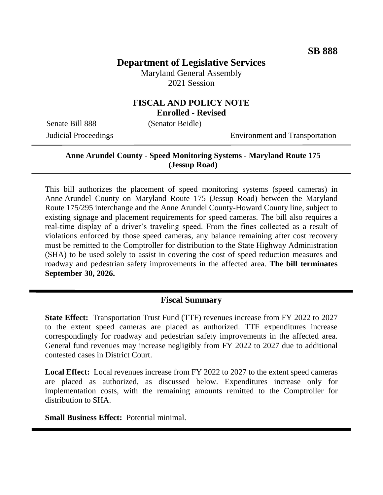# **Department of Legislative Services**

Maryland General Assembly 2021 Session

### **FISCAL AND POLICY NOTE Enrolled - Revised**

Senate Bill 888 (Senator Beidle)

Judicial Proceedings Environment and Transportation

## **Anne Arundel County - Speed Monitoring Systems - Maryland Route 175 (Jessup Road)**

This bill authorizes the placement of speed monitoring systems (speed cameras) in Anne Arundel County on Maryland Route 175 (Jessup Road) between the Maryland Route 175/295 interchange and the Anne Arundel County-Howard County line, subject to existing signage and placement requirements for speed cameras. The bill also requires a real-time display of a driver's traveling speed. From the fines collected as a result of violations enforced by those speed cameras, any balance remaining after cost recovery must be remitted to the Comptroller for distribution to the State Highway Administration (SHA) to be used solely to assist in covering the cost of speed reduction measures and roadway and pedestrian safety improvements in the affected area. **The bill terminates September 30, 2026.**

#### **Fiscal Summary**

**State Effect:** Transportation Trust Fund (TTF) revenues increase from FY 2022 to 2027 to the extent speed cameras are placed as authorized. TTF expenditures increase correspondingly for roadway and pedestrian safety improvements in the affected area. General fund revenues may increase negligibly from FY 2022 to 2027 due to additional contested cases in District Court.

**Local Effect:** Local revenues increase from FY 2022 to 2027 to the extent speed cameras are placed as authorized, as discussed below. Expenditures increase only for implementation costs, with the remaining amounts remitted to the Comptroller for distribution to SHA.

**Small Business Effect:** Potential minimal.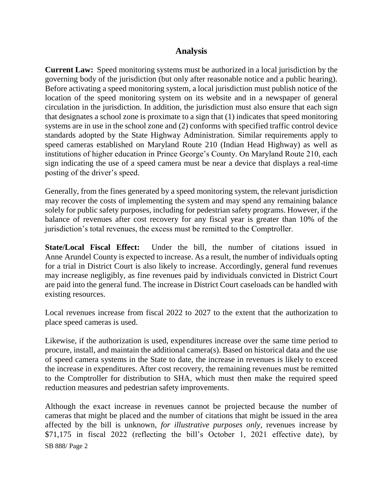### **Analysis**

**Current Law:** Speed monitoring systems must be authorized in a local jurisdiction by the governing body of the jurisdiction (but only after reasonable notice and a public hearing). Before activating a speed monitoring system, a local jurisdiction must publish notice of the location of the speed monitoring system on its website and in a newspaper of general circulation in the jurisdiction. In addition, the jurisdiction must also ensure that each sign that designates a school zone is proximate to a sign that (1) indicates that speed monitoring systems are in use in the school zone and (2) conforms with specified traffic control device standards adopted by the State Highway Administration. Similar requirements apply to speed cameras established on Maryland Route 210 (Indian Head Highway) as well as institutions of higher education in Prince George's County. On Maryland Route 210, each sign indicating the use of a speed camera must be near a device that displays a real-time posting of the driver's speed.

Generally, from the fines generated by a speed monitoring system, the relevant jurisdiction may recover the costs of implementing the system and may spend any remaining balance solely for public safety purposes, including for pedestrian safety programs. However, if the balance of revenues after cost recovery for any fiscal year is greater than 10% of the jurisdiction's total revenues, the excess must be remitted to the Comptroller.

**State/Local Fiscal Effect:** Under the bill, the number of citations issued in Anne Arundel County is expected to increase. As a result, the number of individuals opting for a trial in District Court is also likely to increase. Accordingly, general fund revenues may increase negligibly, as fine revenues paid by individuals convicted in District Court are paid into the general fund. The increase in District Court caseloads can be handled with existing resources.

Local revenues increase from fiscal 2022 to 2027 to the extent that the authorization to place speed cameras is used.

Likewise, if the authorization is used, expenditures increase over the same time period to procure, install, and maintain the additional camera(s). Based on historical data and the use of speed camera systems in the State to date, the increase in revenues is likely to exceed the increase in expenditures. After cost recovery, the remaining revenues must be remitted to the Comptroller for distribution to SHA, which must then make the required speed reduction measures and pedestrian safety improvements.

SB 888/ Page 2 Although the exact increase in revenues cannot be projected because the number of cameras that might be placed and the number of citations that might be issued in the area affected by the bill is unknown, *for illustrative purposes only*, revenues increase by \$71,175 in fiscal 2022 (reflecting the bill's October 1, 2021 effective date), by